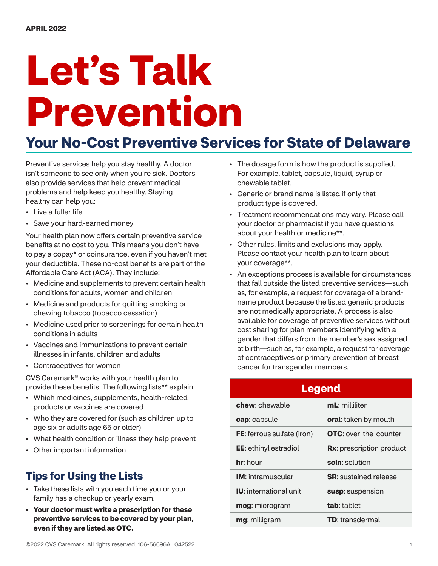# **Let's Talk Prevention**

## **Your No-Cost Preventive Services for State of Delaware**

Preventive services help you stay healthy. A doctor isn't someone to see only when you're sick. Doctors also provide services that help prevent medical problems and help keep you healthy. Staying healthy can help you:

- Live a fuller life
- Save your hard-earned money

Your health plan now offers certain preventive service benefits at no cost to you. This means you don't have to pay a copay\* or coinsurance, even if you haven't met your deductible. These no-cost benefits are part of the Affordable Care Act (ACA). They include:

- Medicine and supplements to prevent certain health conditions for adults, women and children
- Medicine and products for quitting smoking or chewing tobacco (tobacco cessation)
- Medicine used prior to screenings for certain health conditions in adults
- Vaccines and immunizations to prevent certain illnesses in infants, children and adults
- Contraceptives for women

CVS Caremark® works with your health plan to provide these benefits. The following lists\*\* explain:

- Which medicines, supplements, health-related products or vaccines are covered
- Who they are covered for (such as children up to age six or adults age 65 or older)
- What health condition or illness they help prevent
- Other important information

## **Tips for Using the Lists**

- Take these lists with you each time you or your family has a checkup or yearly exam.
- **Your doctor must write a prescription for these preventive services to be covered by your plan, even if they are listed as OTC.**
- The dosage form is how the product is supplied. For example, tablet, capsule, liquid, syrup or chewable tablet.
- Generic or brand name is listed if only that product type is covered.
- Treatment recommendations may vary. Please call your doctor or pharmacist if you have questions about your health or medicine\*\*.
- Other rules, limits and exclusions may apply. Please contact your health plan to learn about your coverage\*\*.
- An exceptions process is available for circumstances that fall outside the listed preventive services—such as, for example, a request for coverage of a brandname product because the listed generic products are not medically appropriate. A process is also available for coverage of preventive services without cost sharing for plan members identifying with a gender that differs from the member's sex assigned at birth—such as, for example, a request for coverage of contraceptives or primary prevention of breast cancer for transgender members.

| Legend                            |                              |  |
|-----------------------------------|------------------------------|--|
| chew: chewable                    | mL: milliliter               |  |
| cap: capsule                      | oral: taken by mouth         |  |
| <b>FE:</b> ferrous sulfate (iron) | <b>OTC:</b> over-the-counter |  |
| <b>EE:</b> ethinyl estradiol      | Rx: prescription product     |  |
| hr: hour                          | soln: solution               |  |
| <b>IM</b> : intramuscular         | <b>SR:</b> sustained release |  |
| <b>IU:</b> international unit     | susp: suspension             |  |
| mcg: microgram                    | tab: tablet                  |  |
| mg: milligram                     | <b>TD:</b> transdermal       |  |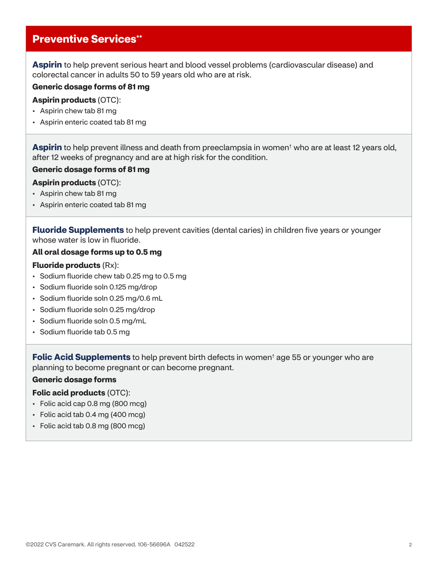## **Preventive Services\*\***

**Aspirin** to help prevent serious heart and blood vessel problems (cardiovascular disease) and colorectal cancer in adults 50 to 59 years old who are at risk.

#### **Generic dosage forms of 81 mg**

#### **Aspirin products** (OTC):

- Aspirin chew tab 81 mg
- Aspirin enteric coated tab 81 mg

**Aspirin** to help prevent illness and death from preeclampsia in women† who are at least 12 years old, after 12 weeks of pregnancy and are at high risk for the condition.

#### **Generic dosage forms of 81 mg**

#### **Aspirin products** (OTC):

- Aspirin chew tab 81 mg
- Aspirin enteric coated tab 81 mg

**Fluoride Supplements** to help prevent cavities (dental caries) in children five years or younger whose water is low in fluoride.

#### **All oral dosage forms up to 0.5 mg**

#### **Fluoride products** (Rx):

- Sodium fluoride chew tab 0.25 mg to 0.5 mg
- Sodium fluoride soln 0.125 mg/drop
- Sodium fluoride soln 0.25 mg/0.6 mL
- Sodium fluoride soln 0.25 mg/drop
- Sodium fluoride soln 0.5 mg/mL
- Sodium fluoride tab 0.5 mg

**Folic Acid Supplements** to help prevent birth defects in women† age 55 or younger who are planning to become pregnant or can become pregnant.

#### **Generic dosage forms**

#### **Folic acid products** (OTC):

- Folic acid cap 0.8 mg (800 mcg)
- Folic acid tab 0.4 mg (400 mcg)
- Folic acid tab 0.8 mg (800 mcg)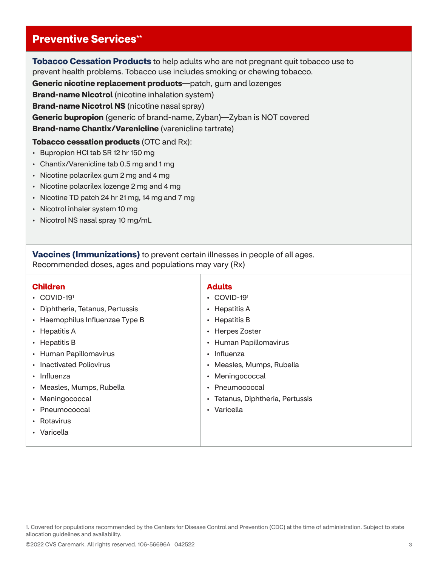## **Preventive Services\*\***

**Tobacco Cessation Products** to help adults who are not pregnant quit tobacco use to prevent health problems. Tobacco use includes smoking or chewing tobacco.

**Generic nicotine replacement products**—patch, gum and lozenges

**Brand-name Nicotrol** (nicotine inhalation system)

**Brand-name Nicotrol NS** (nicotine nasal spray)

**Generic bupropion** (generic of brand-name, Zyban)—Zyban is NOT covered

**Brand-name Chantix/Varenicline** (varenicline tartrate)

**Tobacco cessation products** (OTC and Rx):

- Bupropion HCl tab SR 12 hr 150 mg
- Chantix/Varenicline tab 0.5 mg and 1 mg
- Nicotine polacrilex gum 2 mg and 4 mg
- Nicotine polacrilex lozenge 2 mg and 4 mg
- Nicotine TD patch 24 hr 21 mg, 14 mg and 7 mg
- Nicotrol inhaler system 10 mg
- Nicotrol NS nasal spray 10 mg/mL

**Vaccines (Immunizations)** to prevent certain illnesses in people of all ages. Recommended doses, ages and populations may vary (Rx)

#### **Children**

- COVID-19<sup>1</sup>
- Diphtheria, Tetanus, Pertussis
- Haemophilus Influenzae Type B
- Hepatitis A
- Hepatitis B
- Human Papillomavirus
- Inactivated Poliovirus
- Influenza
- Measles, Mumps, Rubella
- Meningococcal
- Pneumococcal
- Rotavirus
- Varicella

#### **Adults**

- COVID-19<sup>1</sup>
- Hepatitis A
- Hepatitis B
- Herpes Zoster
- Human Papillomavirus
- Influenza
- Measles, Mumps, Rubella
- Meningococcal
- Pneumococcal
- Tetanus, Diphtheria, Pertussis
- Varicella

<sup>1.</sup> Covered for populations recommended by the Centers for Disease Control and Prevention (CDC) at the time of administration. Subject to state allocation guidelines and availability.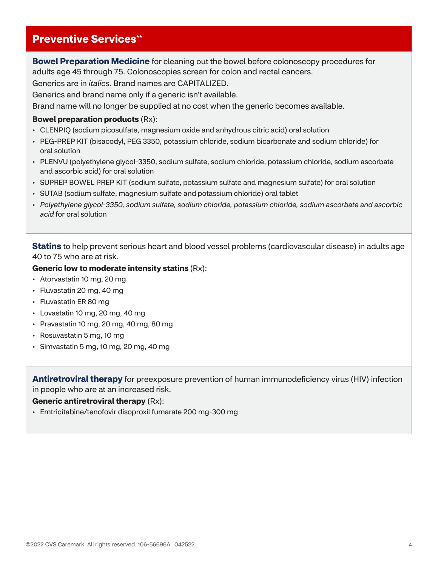### **Preventive Services\*\***

**Bowel Preparation Medicine** for cleaning out the bowel before colonoscopy procedures for adults age 45 through 75. Colonoscopies screen for colon and rectal cancers.

Generics are in *italics*. Brand names are CAPITALIZED.

Generics and brand name only if a generic isn't available.

Brand name will no longer be supplied at no cost when the generic becomes available.

#### **Bowel preparation products** (Rx):

- CLENPIQ (sodium picosulfate, magnesium oxide and anhydrous citric acid) oral solution
- PEG-PREP KIT (bisacodyl, PEG 3350, potassium chloride, sodium bicarbonate and sodium chloride) for oral solution
- PLENVU (polyethylene glycol-3350, sodium sulfate, sodium chloride, potassium chloride, sodium ascorbate and ascorbic acid) for oral solution
- SUPREP BOWEL PREP KIT (sodium sulfate, potassium sulfate and magnesium sulfate) for oral solution
- SUTAB (sodium sulfate, magnesium sulfate and potassium chloride) oral tablet
- *Polyethylene glycol-3350, sodium sulfate, sodium chloride, potassium chloride, sodium ascorbate and ascorbic acid* for oral solution

**Statins** to help prevent serious heart and blood vessel problems (cardiovascular disease) in adults age 40 to 75 who are at risk.

#### **Generic low to moderate intensity statins** (Rx):

- Atorvastatin 10 mg, 20 mg
- Fluvastatin 20 mg, 40 mg
- Fluvastatin ER 80 mg
- Lovastatin 10 mg, 20 mg, 40 mg
- Pravastatin 10 mg, 20 mg, 40 mg, 80 mg
- Rosuvastatin 5 mg, 10 mg
- Simvastatin 5 mg, 10 mg, 20 mg, 40 mg

**Antiretroviral therapy** for preexposure prevention of human immunodeficiency virus (HIV) infection in people who are at an increased risk.

#### **Generic antiretroviral therapy** (Rx):

• Emtricitabine/tenofovir disoproxil fumarate 200 mg-300 mg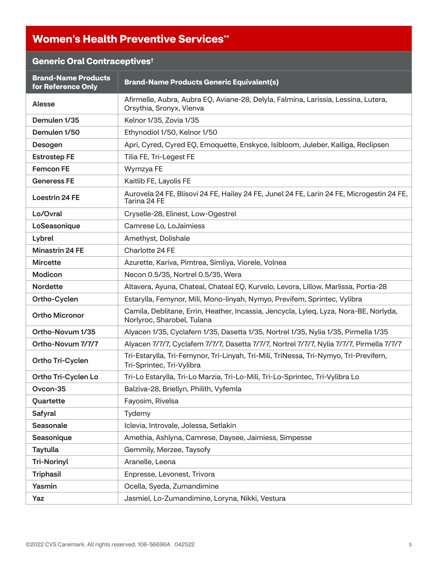## **Women's Health Preventive Services\*\***

## **Generic Oral Contraceptives†**

| <b>Brand-Name Products</b><br>for Reference Only | <b>Brand-Name Products Generic Equivalent(s)</b>                                                                    |
|--------------------------------------------------|---------------------------------------------------------------------------------------------------------------------|
| <b>Alesse</b>                                    | Afirmelle, Aubra, Aubra EQ, Aviane-28, Delyla, Falmina, Larissia, Lessina, Lutera,<br>Orsythia, Sronyx, Vienva      |
| Demulen 1/35                                     | Kelnor 1/35, Zovia 1/35                                                                                             |
| Demulen 1/50                                     | Ethynodiol 1/50, Kelnor 1/50                                                                                        |
| Desogen                                          | Apri, Cyred, Cyred EQ, Emoquette, Enskyce, Isibloom, Juleber, Kalliga, Reclipsen                                    |
| <b>Estrostep FE</b>                              | Tilia FE, Tri-Legest FE                                                                                             |
| <b>Femcon FE</b>                                 | Wymzya FE                                                                                                           |
| <b>Generess FE</b>                               | Kaitlib FE, Layolis FE                                                                                              |
| <b>Loestrin 24 FE</b>                            | Aurovela 24 FE, Blisovi 24 FE, Hailey 24 FE, Junel 24 FE, Larin 24 FE, Microgestin 24 FE,<br>Tarina 24 FE           |
| Lo/Ovral                                         | Cryselle-28, Elinest, Low-Ogestrel                                                                                  |
| LoSeasonique                                     | Camrese Lo, LoJaimiess                                                                                              |
| Lybrel                                           | Amethyst, Dolishale                                                                                                 |
| <b>Minastrin 24 FE</b>                           | Charlotte 24 FE                                                                                                     |
| <b>Mircette</b>                                  | Azurette, Kariva, Pimtrea, Simliya, Viorele, Volnea                                                                 |
| <b>Modicon</b>                                   | Necon 0.5/35, Nortrel 0.5/35, Wera                                                                                  |
| <b>Nordette</b>                                  | Altavera, Ayuna, Chateal, Chateal EQ, Kurvelo, Levora, Lillow, Marlissa, Portia-28                                  |
| Ortho-Cyclen                                     | Estarylla, Femynor, Mili, Mono-linyah, Nymyo, Previfem, Sprintec, Vylibra                                           |
| <b>Ortho Micronor</b>                            | Camila, Deblitane, Errin, Heather, Incassia, Jencycla, Lyleq, Lyza, Nora-BE, Norlyda,<br>Norlyroc, Sharobel, Tulana |
| Ortho-Novum 1/35                                 | Alyacen 1/35, Cyclafem 1/35, Dasetta 1/35, Nortrel 1/35, Nylia 1/35, Pirmella 1/35                                  |
| Ortho-Novum 7/7/7                                | Alyacen 7/7/7, Cyclafem 7/7/7, Dasetta 7/7/7, Nortrel 7/7/7, Nylia 7/7/7, Pirmella 7/7/7                            |
| Ortho Tri-Cyclen                                 | Tri-Estarylla, Tri-Femynor, Tri-Linyah, Tri-Mili, TriNessa, Tri-Nymyo, Tri-Previfem,<br>Tri-Sprintec, Tri-Vylibra   |
| Ortho Tri-Cyclen Lo                              | Tri-Lo Estarylla, Tri-Lo Marzia, Tri-Lo-Mili, Tri-Lo-Sprintec, Tri-Vylibra Lo                                       |
| Ovcon-35                                         | Balziva-28, Briellyn, Philith, Vyfemla                                                                              |
| Quartette                                        | Fayosim, Rivelsa                                                                                                    |
| Safyral                                          | Tydemy                                                                                                              |
| Seasonale                                        | Iclevia, Introvale, Jolessa, Setlakin                                                                               |
| Seasonique                                       | Amethia, Ashlyna, Camrese, Daysee, Jaimiess, Simpesse                                                               |
| <b>Taytulla</b>                                  | Gemmily, Merzee, Taysofy                                                                                            |
| <b>Tri-Norinyl</b>                               | Aranelle, Leena                                                                                                     |
| <b>Triphasil</b>                                 | Enpresse, Levonest, Trivora                                                                                         |
| Yasmin                                           | Ocella, Syeda, Zumandimine                                                                                          |
| Yaz                                              | Jasmiel, Lo-Zumandimine, Loryna, Nikki, Vestura                                                                     |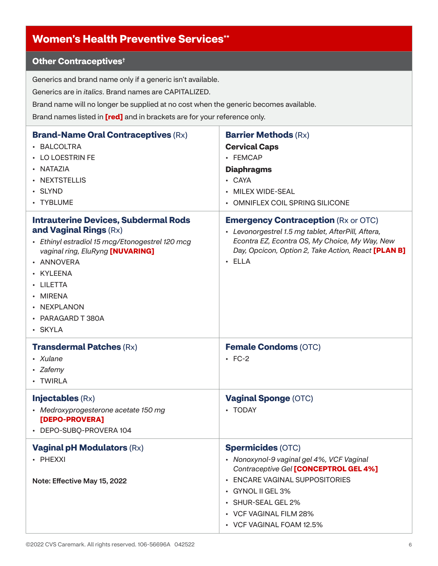## **Women's Health Preventive Services\*\***

## **Other Contraceptives†**

Generics and brand name only if a generic isn't available.

Generics are in *italics*. Brand names are CAPITALIZED.

Brand name will no longer be supplied at no cost when the generic becomes available.

Brand names listed in **[red]** and in brackets are for your reference only.

| <b>Brand-Name Oral Contraceptives (Rx)</b><br>• BALCOLTRA<br>• LO LOESTRIN FE<br>• NATAZIA<br>• NEXTSTELLIS<br>· SLYND<br>• TYBLUME                                                                                                                             | <b>Barrier Methods (Rx)</b><br><b>Cervical Caps</b><br>• FEMCAP<br><b>Diaphragms</b><br>• CAYA<br><b>MILEX WIDE-SEAL</b><br>$\bullet$<br><b>OMNIFLEX COIL SPRING SILICONE</b>                                                                                       |
|-----------------------------------------------------------------------------------------------------------------------------------------------------------------------------------------------------------------------------------------------------------------|---------------------------------------------------------------------------------------------------------------------------------------------------------------------------------------------------------------------------------------------------------------------|
| <b>Intrauterine Devices, Subdermal Rods</b><br>and Vaginal Rings (Rx)<br>• Ethinyl estradiol 15 mcg/Etonogestrel 120 mcg<br>vaginal ring, EluRyng [NUVARING]<br>• ANNOVERA<br>• KYLEENA<br>· LILETTA<br>• MIRENA<br>• NEXPLANON<br>• PARAGARD T 380A<br>• SKYLA | <b>Emergency Contraception (Rx or OTC)</b><br>• Levonorgestrel 1.5 mg tablet, AfterPill, Aftera,<br>Econtra EZ, Econtra OS, My Choice, My Way, New<br>Day, Opcicon, Option 2, Take Action, React [PLAN B]<br>$\cdot$ ELLA                                           |
| <b>Transdermal Patches (Rx)</b><br>• Xulane<br>• Zafemy<br>• TWIRLA                                                                                                                                                                                             | <b>Female Condoms (OTC)</b><br>$\cdot$ FC-2                                                                                                                                                                                                                         |
| <b>Injectables</b> $(Rx)$<br>• Medroxyprogesterone acetate 150 mg<br>[DEPO-PROVERA]<br>• DEPO-SUBQ-PROVERA 104                                                                                                                                                  | <b>Vaginal Sponge (OTC)</b><br>• TODAY                                                                                                                                                                                                                              |
| <b>Vaginal pH Modulators (Rx)</b><br>• PHEXXI<br>Note: Effective May 15, 2022                                                                                                                                                                                   | <b>Spermicides (OTC)</b><br>• Nonoxynol-9 vaginal gel 4%, VCF Vaginal<br>Contraceptive Gel [CONCEPTROL GEL 4%]<br><b>ENCARE VAGINAL SUPPOSITORIES</b><br>$\bullet$<br>• GYNOL II GEL 3%<br>• SHUR-SEAL GEL 2%<br>• VCF VAGINAL FILM 28%<br>• VCF VAGINAL FOAM 12.5% |